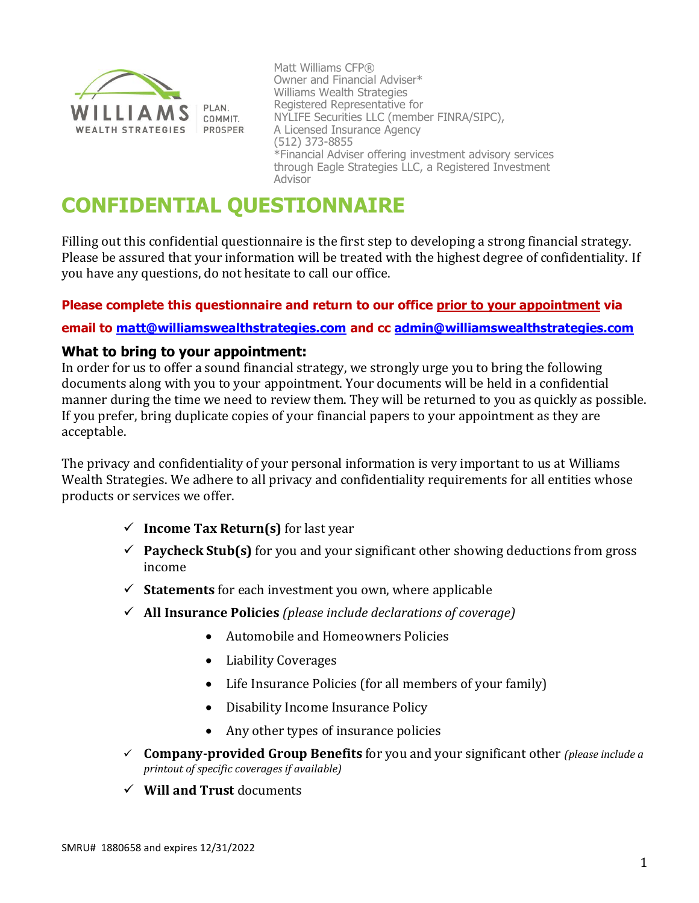

Matt Williams CFP® Owner and Financial Adviser\* Williams Wealth Strategies Registered Representative for NYLIFE Securities LLC (member FINRA/SIPC), A Licensed Insurance Agency (512) 373-8855 \*Financial Adviser offering investment advisory services through Eagle Strategies LLC, a Registered Investment Advisor

# **CONFIDENTIAL QUESTIONNAIRE**

Filling out this confidential questionnaire is the first step to developing a strong financial strategy. Please be assured that your information will be treated with the highest degree of confidentiality. If you have any questions, do not hesitate to call our office.

### **Please complete this questionnaire and return to our office prior to your appointment via**

### **email to [matt@williamswealthstrategies.com](mailto:matt@williamswealthstrategies.com) and cc [admin@williamswealthstrategies.com](mailto:admin@williamswealthstrategies.com)**

### **What to bring to your appointment:**

In order for us to offer a sound financial strategy, we strongly urge you to bring the following documents along with you to your appointment. Your documents will be held in a confidential manner during the time we need to review them. They will be returned to you as quickly as possible. If you prefer, bring duplicate copies of your financial papers to your appointment as they are acceptable.

The privacy and confidentiality of your personal information is very important to us at Williams Wealth Strategies. We adhere to all privacy and confidentiality requirements for all entities whose products or services we offer.

- ✓ **Income Tax Return(s)** for last year
- ✓ **Paycheck Stub(s)** for you and your significant other showing deductions from gross income
- ✓ **Statements** for each investment you own, where applicable
- ✓ **All Insurance Policies** *(please include declarations of coverage)*
	- Automobile and Homeowners Policies
	- Liability Coverages
	- Life Insurance Policies (for all members of your family)
	- Disability Income Insurance Policy
	- Any other types of insurance policies
- ✓ **Company-provided Group Benefits** for you and your significant other *(please include a printout of specific coverages if available)*
- ✓ **Will and Trust** documents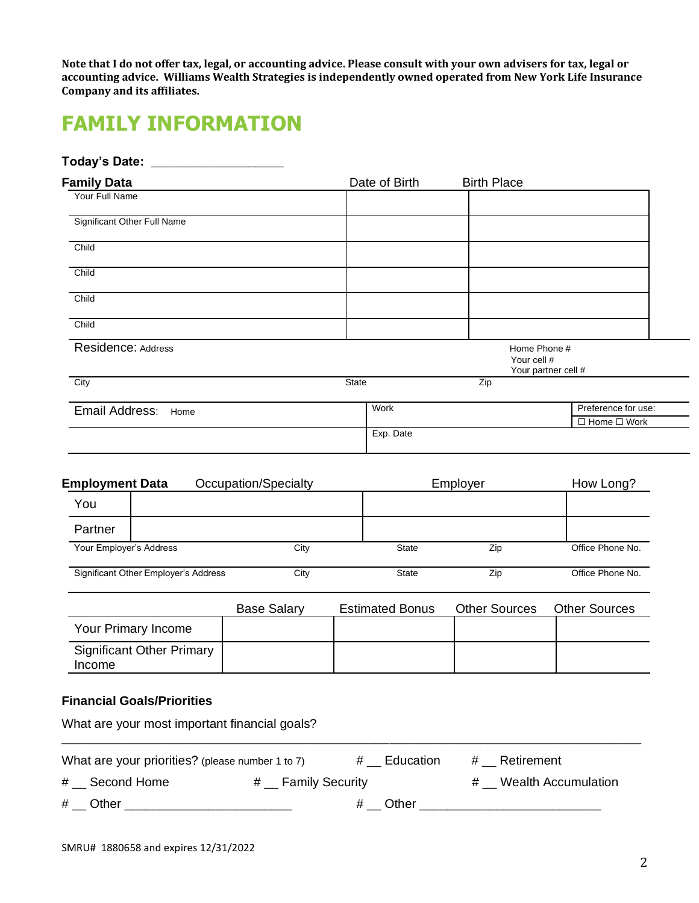**Note that I do not offer tax, legal, or accounting advice. Please consult with your own advisers for tax, legal or accounting advice. Williams Wealth Strategies is independently owned operated from New York Life Insurance Company and its affiliates.**

## **FAMILY INFORMATION**

| Today's Date: ___           |               |                             |                         |
|-----------------------------|---------------|-----------------------------|-------------------------|
| <b>Family Data</b>          | Date of Birth | <b>Birth Place</b>          |                         |
| Your Full Name              |               |                             |                         |
| Significant Other Full Name |               |                             |                         |
| Child                       |               |                             |                         |
| Child                       |               |                             |                         |
| Child                       |               |                             |                         |
| Child                       |               |                             |                         |
| Residence: Address          |               | Home Phone #<br>Your cell # | Your partner cell #     |
| City                        | <b>State</b>  | Zip                         |                         |
| Email Address:<br>Home      | Work          |                             | Preference for use:     |
|                             |               |                             | $\Box$ Home $\Box$ Work |
|                             | Exp. Date     |                             |                         |

| <b>Employment Data</b>               | Occupation/Specialty |              | Employer |                  |
|--------------------------------------|----------------------|--------------|----------|------------------|
| You                                  |                      |              |          |                  |
| Partner                              |                      |              |          |                  |
| Your Employer's Address              | City                 | <b>State</b> | Zip      | Office Phone No. |
| Significant Other Employer's Address | City                 | <b>State</b> | Zip      | Office Phone No. |

|                                                   | <b>Base Salary</b> | <b>Estimated Bonus</b> | <b>Other Sources</b> | <b>Other Sources</b> |
|---------------------------------------------------|--------------------|------------------------|----------------------|----------------------|
| Your Primary Income                               |                    |                        |                      |                      |
| <b>Significant Other Primary</b><br><i>Income</i> |                    |                        |                      |                      |

### **Financial Goals/Priorities**

What are your most important financial goals?

| What are your priorities? (please number 1 to 7) |                              | # Education | # Retirement          |
|--------------------------------------------------|------------------------------|-------------|-----------------------|
| # Second Home                                    | $#$ $\equiv$ Family Security |             | # Wealth Accumulation |

\_\_\_\_\_\_\_\_\_\_\_\_\_\_\_\_\_\_\_\_\_\_\_\_\_\_\_\_\_\_\_\_\_\_\_\_\_\_\_\_\_\_\_\_\_\_\_\_\_\_\_\_\_\_\_\_\_\_\_\_\_\_\_\_\_\_\_\_\_\_\_\_\_\_\_\_\_\_\_\_\_\_\_

# \_\_ Other \_\_\_\_\_\_\_\_\_\_\_\_\_\_\_\_\_\_\_\_\_\_\_\_ # \_\_ Other \_\_\_\_\_\_\_\_\_\_\_\_\_\_\_\_\_\_\_\_\_\_\_\_\_\_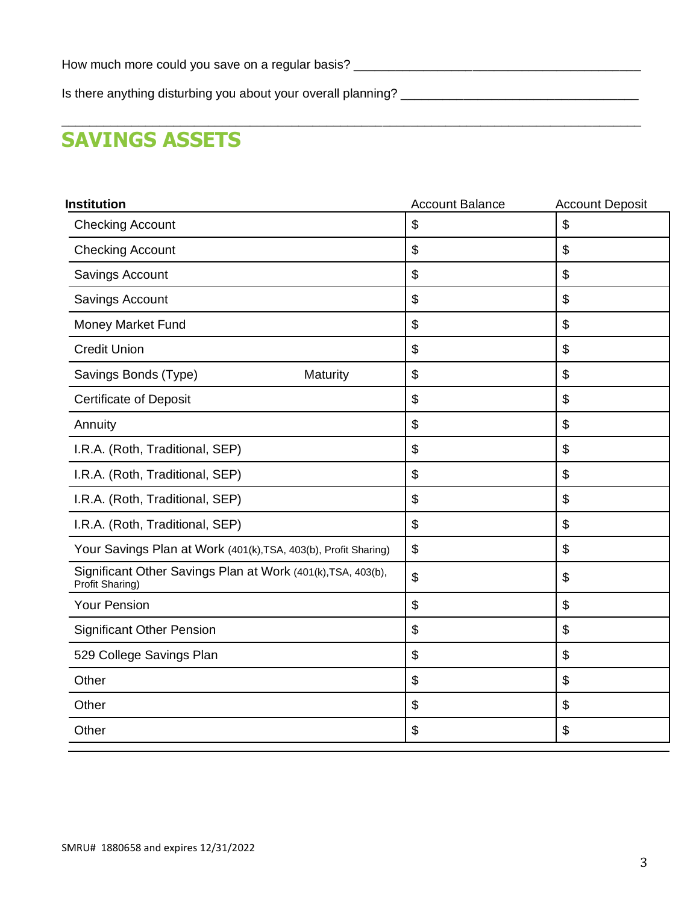Is there anything disturbing you about your overall planning? \_\_\_\_\_\_\_\_\_\_\_\_\_\_\_\_\_\_\_\_\_\_\_\_\_\_\_\_\_\_\_\_\_\_

## **SAVINGS ASSETS**

| <b>Account Balance</b> | <b>Account Deposit</b> |
|------------------------|------------------------|
| \$                     | \$                     |
| \$                     | $\mathfrak{L}$         |
| \$                     | \$                     |
| \$                     | \$                     |
| \$                     | $\mathfrak{L}$         |
| \$                     | \$                     |
| \$                     | \$                     |
| \$                     | \$                     |
| \$                     | $\mathfrak{S}$         |
| \$                     | \$                     |
| \$                     | \$                     |
| \$                     | \$                     |
| \$                     | \$                     |
| \$                     | $\mathfrak{S}$         |
| \$                     | \$                     |
| \$                     | \$                     |
| \$                     | \$                     |
| \$                     | \$                     |
| \$                     | \$                     |
| \$                     | \$                     |
| \$                     | \$                     |
|                        |                        |

\_\_\_\_\_\_\_\_\_\_\_\_\_\_\_\_\_\_\_\_\_\_\_\_\_\_\_\_\_\_\_\_\_\_\_\_\_\_\_\_\_\_\_\_\_\_\_\_\_\_\_\_\_\_\_\_\_\_\_\_\_\_\_\_\_\_\_\_\_\_\_\_\_\_\_\_\_\_\_\_\_\_\_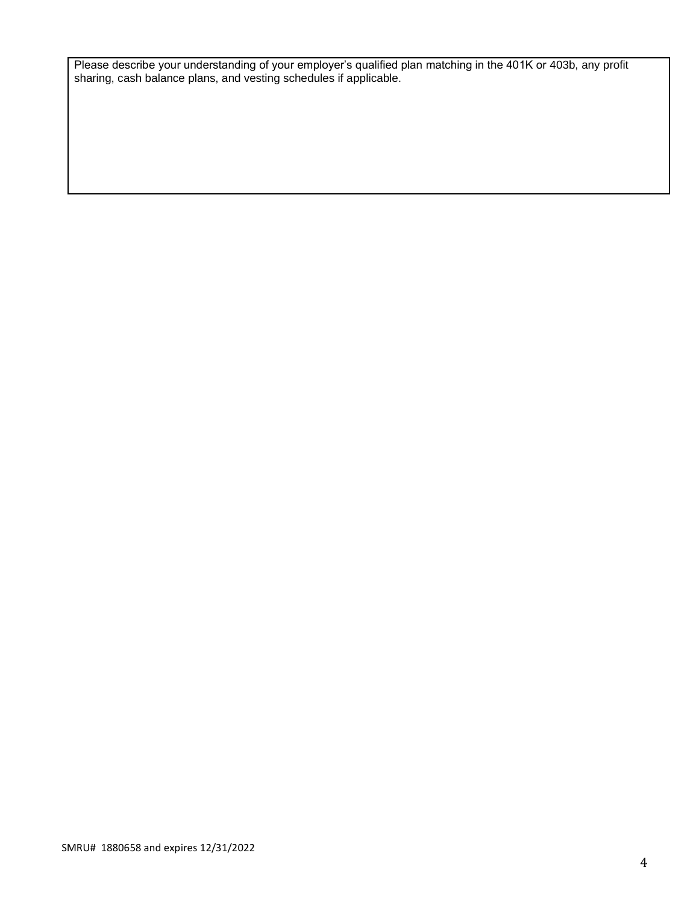Please describe your understanding of your employer's qualified plan matching in the 401K or 403b, any profit sharing, cash balance plans, and vesting schedules if applicable.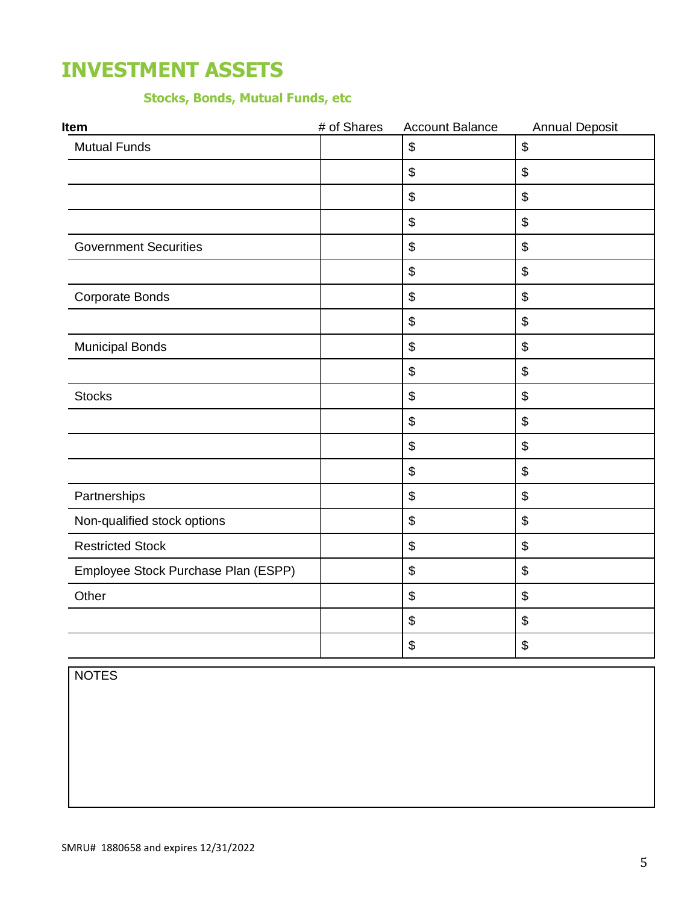## **INVESTMENT ASSETS**

## **Stocks, Bonds, Mutual Funds, etc**

| Item                                | # of Shares | <b>Account Balance</b>                    | <b>Annual Deposit</b>                     |
|-------------------------------------|-------------|-------------------------------------------|-------------------------------------------|
| <b>Mutual Funds</b>                 |             | $\boldsymbol{\theta}$                     | $\, \, \raisebox{12pt}{$\scriptstyle \$}$ |
|                                     |             | $\boldsymbol{\$}$                         | \$                                        |
|                                     |             | $\boldsymbol{\mathsf{S}}$                 | \$                                        |
|                                     |             | $\boldsymbol{\$}$                         | \$                                        |
| <b>Government Securities</b>        |             | $\boldsymbol{\$}$                         | \$                                        |
|                                     |             | \$                                        | \$                                        |
| <b>Corporate Bonds</b>              |             | $\boldsymbol{\mathsf{\$}}$                | \$                                        |
|                                     |             | $\boldsymbol{\theta}$                     | \$                                        |
| <b>Municipal Bonds</b>              |             | \$                                        | \$                                        |
|                                     |             | $\boldsymbol{\theta}$                     | \$                                        |
| <b>Stocks</b>                       |             | \$                                        | \$                                        |
|                                     |             | $\, \, \$$                                | \$                                        |
|                                     |             | $\boldsymbol{\$}$                         | \$                                        |
|                                     |             | $\, \, \raisebox{12pt}{$\scriptstyle \$}$ | \$                                        |
| Partnerships                        |             | $\boldsymbol{\mathsf{\$}}$                | \$                                        |
| Non-qualified stock options         |             | $\boldsymbol{\$}$                         | \$                                        |
| <b>Restricted Stock</b>             |             | \$                                        | $\boldsymbol{\mathsf{S}}$                 |
| Employee Stock Purchase Plan (ESPP) |             | $\boldsymbol{\theta}$                     | \$                                        |
| Other                               |             | $\boldsymbol{\theta}$                     | \$                                        |
|                                     |             | $\, \, \$$                                | \$                                        |
|                                     |             | \$                                        | \$                                        |

NOTES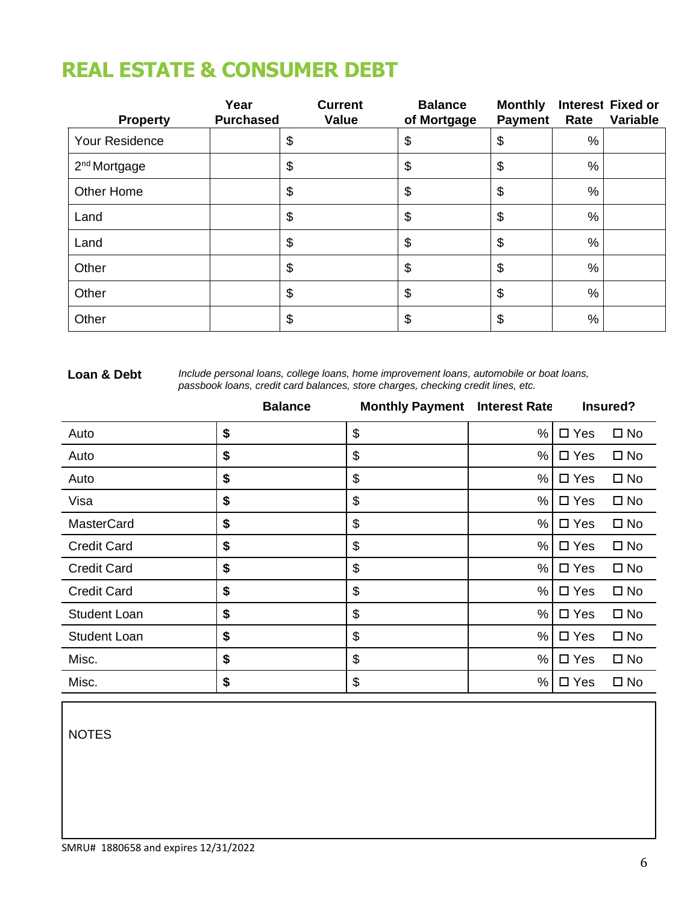# **REAL ESTATE & CONSUMER DEBT**

| <b>Property</b>          | Year<br><b>Purchased</b> | <b>Current</b><br><b>Value</b> | <b>Balance</b><br>of Mortgage | <b>Monthly</b><br><b>Payment</b> | Rate | <b>Interest Fixed or</b><br>Variable |
|--------------------------|--------------------------|--------------------------------|-------------------------------|----------------------------------|------|--------------------------------------|
| Your Residence           |                          | \$                             | \$                            | \$                               | $\%$ |                                      |
| 2 <sup>nd</sup> Mortgage |                          | $\boldsymbol{\theta}$          | \$                            | \$                               | $\%$ |                                      |
| Other Home               |                          | $\boldsymbol{\theta}$          | $\boldsymbol{\theta}$         | \$                               | %    |                                      |
| Land                     |                          | $\boldsymbol{\theta}$          | $\boldsymbol{\theta}$         | \$                               | %    |                                      |
| Land                     |                          | $\boldsymbol{\theta}$          | $\boldsymbol{\theta}$         | \$                               | %    |                                      |
| Other                    |                          | $\boldsymbol{\theta}$          | $\boldsymbol{\theta}$         | \$                               | %    |                                      |
| Other                    |                          | \$                             | $\boldsymbol{\theta}$         | \$                               | %    |                                      |
| Other                    |                          | \$                             | \$                            | \$                               | $\%$ |                                      |

#### **Loan & Debt**

*Include personal loans, college loans, home improvement loans, automobile or boat loans, passbook loans, credit card balances, store charges, checking credit lines, etc.*

|                     | <b>Balance</b> | <b>Monthly Payment</b> | <b>Interest Rate</b> |               | Insured?     |
|---------------------|----------------|------------------------|----------------------|---------------|--------------|
| Auto                | \$             | \$                     | %                    | $\square$ Yes | $\square$ No |
| Auto                | \$             | \$                     | %                    | $\square$ Yes | $\square$ No |
| Auto                | \$             | \$                     | %                    | $\square$ Yes | $\square$ No |
| Visa                | \$             | \$                     | %                    | $\square$ Yes | $\square$ No |
| <b>MasterCard</b>   | \$             | \$                     | %                    | $\Box$ Yes    | $\square$ No |
| <b>Credit Card</b>  | \$             | \$                     | %                    | $\square$ Yes | $\square$ No |
| <b>Credit Card</b>  | \$             | \$                     | %                    | $\Box$ Yes    | $\square$ No |
| <b>Credit Card</b>  | \$             | \$                     | %                    | $\Box$ Yes    | $\square$ No |
| <b>Student Loan</b> | \$             | \$                     | %                    | $\Box$ Yes    | $\square$ No |
| <b>Student Loan</b> | \$             | \$                     | %                    | $\Box$ Yes    | $\square$ No |
| Misc.               | \$             | \$                     | %                    | $\Box$ Yes    | $\square$ No |
| Misc.               | \$             | \$                     | %                    | $\Box$ Yes    | $\square$ No |

NOTES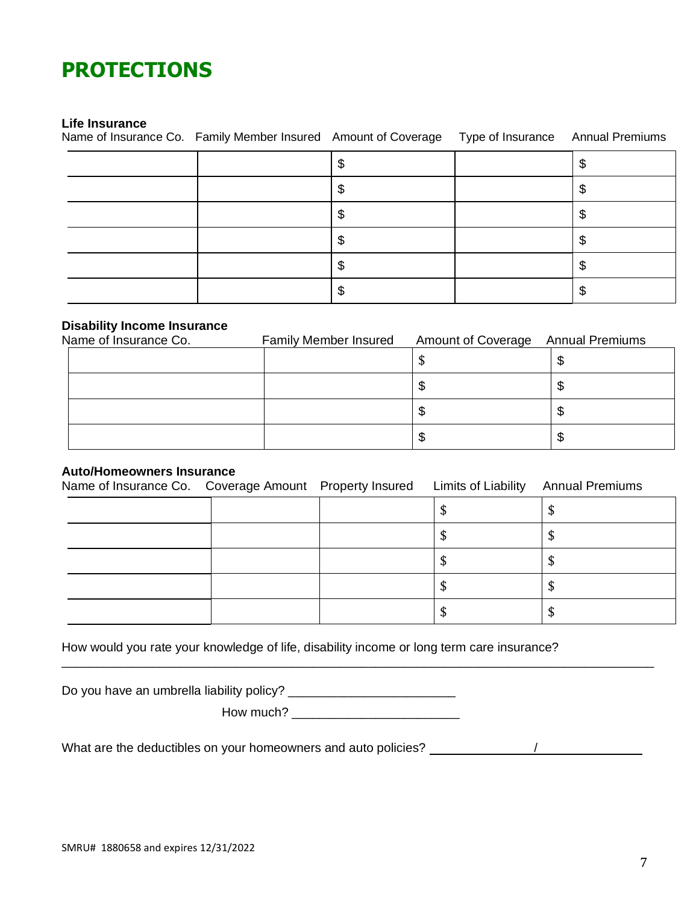## **PROTECTIONS**

### **Life Insurance**

Name of Insurance Co. Family Member Insured Amount of Coverage Type of Insurance Annual Premiums

#### **Disability Income Insurance**

| Name of Insurance Co. | <b>Family Member Insured</b> | <b>Amount of Coverage Annual Premiums</b> |  |
|-----------------------|------------------------------|-------------------------------------------|--|
|                       |                              |                                           |  |
|                       |                              | Œ                                         |  |
|                       |                              | ۰D                                        |  |
|                       |                              | ъD                                        |  |

### **Auto/Homeowners Insurance**

| Name of Insurance Co. Coverage Amount Property Insured Limits of Liability |  |    | <b>Annual Premiums</b> |
|----------------------------------------------------------------------------|--|----|------------------------|
|                                                                            |  | ΨD |                        |
|                                                                            |  | ΨÞ |                        |
|                                                                            |  | P  |                        |
|                                                                            |  | P  |                        |
|                                                                            |  |    |                        |

How would you rate your knowledge of life, disability income or long term care insurance?

Do you have an umbrella liability policy? \_\_\_\_\_\_\_\_\_\_\_\_\_\_\_\_\_\_\_\_\_\_\_\_

How much? \_\_\_\_\_\_\_\_\_\_\_\_\_\_\_\_\_\_\_\_\_\_\_\_

\_\_\_\_\_\_\_\_\_\_\_\_\_\_\_\_\_\_\_\_\_\_\_\_\_\_\_\_\_\_\_\_\_\_\_\_\_\_\_\_\_\_\_\_\_\_\_\_\_\_\_\_\_\_\_\_\_\_\_\_\_\_\_\_\_\_\_\_\_\_\_\_\_\_\_\_\_\_\_\_\_\_\_\_\_

What are the deductibles on your homeowners and auto policies?  $\frac{1}{2}$  .  $\frac{1}{2}$  .  $\frac{1}{2}$  .  $\frac{1}{2}$  .  $\frac{1}{2}$  .  $\frac{1}{2}$  .  $\frac{1}{2}$  .  $\frac{1}{2}$  .  $\frac{1}{2}$  .  $\frac{1}{2}$  .  $\frac{1}{2}$  .  $\frac{1}{2}$  .  $\frac{1}{2}$  .  $\$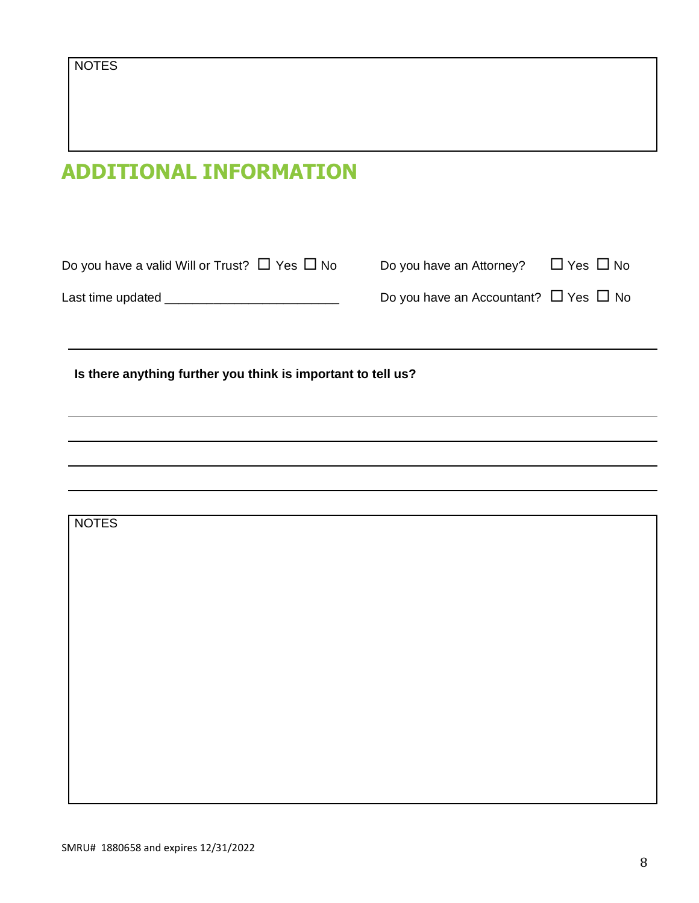# **ADDITIONAL INFORMATION**

| Do you have a valid Will or Trust? $\Box$ Yes $\Box$ No      | Do you have an Attorney? $\Box$ Yes $\Box$ No   |  |
|--------------------------------------------------------------|-------------------------------------------------|--|
| Last time updated _______________________________            | Do you have an Accountant? $\Box$ Yes $\Box$ No |  |
|                                                              |                                                 |  |
| Is there anything further you think is important to tell us? |                                                 |  |
|                                                              |                                                 |  |
|                                                              |                                                 |  |
|                                                              |                                                 |  |
| <b>NOTES</b>                                                 |                                                 |  |
|                                                              |                                                 |  |
|                                                              |                                                 |  |
|                                                              |                                                 |  |
|                                                              |                                                 |  |
|                                                              |                                                 |  |
|                                                              |                                                 |  |